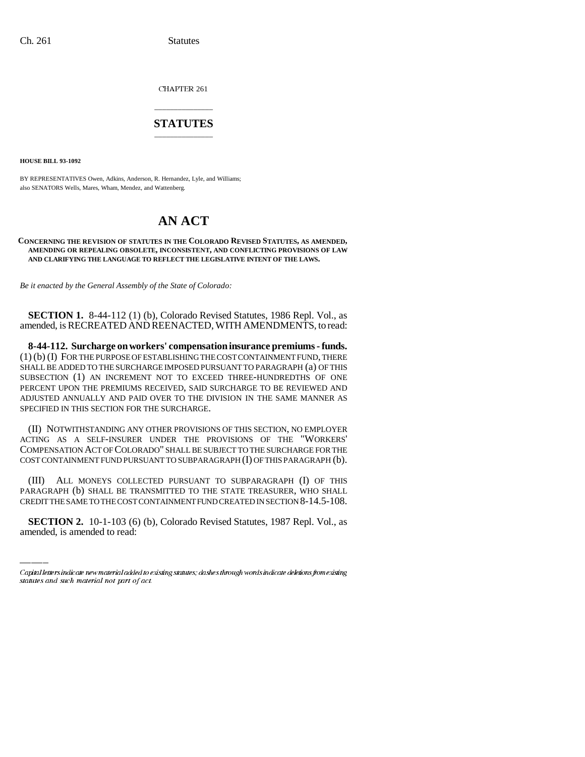CHAPTER 261

### \_\_\_\_\_\_\_\_\_\_\_\_\_\_\_ **STATUTES** \_\_\_\_\_\_\_\_\_\_\_\_\_\_\_

**HOUSE BILL 93-1092**

BY REPRESENTATIVES Owen, Adkins, Anderson, R. Hernandez, Lyle, and Williams; also SENATORS Wells, Mares, Wham, Mendez, and Wattenberg.

# **AN ACT**

### **CONCERNING THE REVISION OF STATUTES IN THE COLORADO REVISED STATUTES, AS AMENDED, AMENDING OR REPEALING OBSOLETE, INCONSISTENT, AND CONFLICTING PROVISIONS OF LAW AND CLARIFYING THE LANGUAGE TO REFLECT THE LEGISLATIVE INTENT OF THE LAWS.**

*Be it enacted by the General Assembly of the State of Colorado:*

**SECTION 1.** 8-44-112 (1) (b), Colorado Revised Statutes, 1986 Repl. Vol., as amended, is RECREATED AND REENACTED, WITH AMENDMENTS, to read:

**8-44-112. Surcharge on workers' compensation insurance premiums - funds.** (1) (b) (I) FOR THE PURPOSE OF ESTABLISHING THE COST CONTAINMENT FUND, THERE SHALL BE ADDED TO THE SURCHARGE IMPOSED PURSUANT TO PARAGRAPH (a) OF THIS SUBSECTION (1) AN INCREMENT NOT TO EXCEED THREE-HUNDREDTHS OF ONE PERCENT UPON THE PREMIUMS RECEIVED, SAID SURCHARGE TO BE REVIEWED AND ADJUSTED ANNUALLY AND PAID OVER TO THE DIVISION IN THE SAME MANNER AS SPECIFIED IN THIS SECTION FOR THE SURCHARGE.

(II) NOTWITHSTANDING ANY OTHER PROVISIONS OF THIS SECTION, NO EMPLOYER ACTING AS A SELF-INSURER UNDER THE PROVISIONS OF THE "WORKERS' COMPENSATION ACT OF COLORADO" SHALL BE SUBJECT TO THE SURCHARGE FOR THE COST CONTAINMENT FUND PURSUANT TO SUBPARAGRAPH (I) OF THIS PARAGRAPH (b).

PARAGRAPH (b) SHALL BE TRANSMITTED TO THE STATE TREASURER, WHO SHALL (III) ALL MONEYS COLLECTED PURSUANT TO SUBPARAGRAPH (I) OF THIS CREDIT THE SAME TO THE COST CONTAINMENT FUND CREATED IN SECTION 8-14.5-108.

**SECTION 2.** 10-1-103 (6) (b), Colorado Revised Statutes, 1987 Repl. Vol., as amended, is amended to read:

Capital letters indicate new material added to existing statutes; dashes through words indicate deletions from existing statutes and such material not part of act.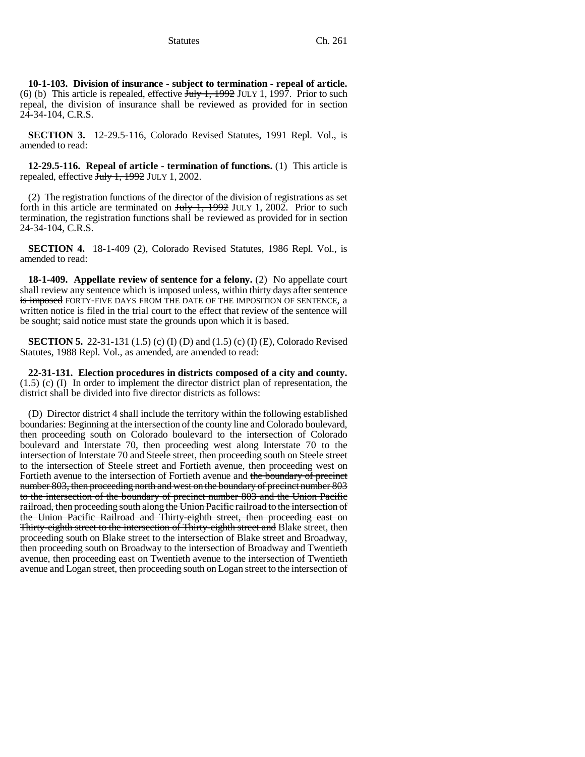**10-1-103. Division of insurance - subject to termination - repeal of article.** (6) (b) This article is repealed, effective  $\overline{July}$  1, 1992 JULY 1, 1997. Prior to such repeal, the division of insurance shall be reviewed as provided for in section 24-34-104, C.R.S.

**SECTION 3.** 12-29.5-116, Colorado Revised Statutes, 1991 Repl. Vol., is amended to read:

**12-29.5-116. Repeal of article - termination of functions.** (1) This article is repealed, effective July 1, 1992 JULY 1, 2002.

(2) The registration functions of the director of the division of registrations as set forth in this article are terminated on  $\frac{\text{H}_y}{\text{H}_y}$  July 1, 2002. Prior to such termination, the registration functions shall be reviewed as provided for in section 24-34-104, C.R.S.

**SECTION 4.** 18-1-409 (2), Colorado Revised Statutes, 1986 Repl. Vol., is amended to read:

**18-1-409. Appellate review of sentence for a felony.** (2) No appellate court shall review any sentence which is imposed unless, within thirty days after sentence is imposed FORTY-FIVE DAYS FROM THE DATE OF THE IMPOSITION OF SENTENCE, a written notice is filed in the trial court to the effect that review of the sentence will be sought; said notice must state the grounds upon which it is based.

**SECTION 5.** 22-31-131 (1.5) (c) (I) (D) and (1.5) (c) (I) (E), Colorado Revised Statutes, 1988 Repl. Vol., as amended, are amended to read:

**22-31-131. Election procedures in districts composed of a city and county.**  $(1.5)$  (c) (I) In order to implement the director district plan of representation, the district shall be divided into five director districts as follows:

(D) Director district 4 shall include the territory within the following established boundaries: Beginning at the intersection of the county line and Colorado boulevard, then proceeding south on Colorado boulevard to the intersection of Colorado boulevard and Interstate 70, then proceeding west along Interstate 70 to the intersection of Interstate 70 and Steele street, then proceeding south on Steele street to the intersection of Steele street and Fortieth avenue, then proceeding west on Fortieth avenue to the intersection of Fortieth avenue and the boundary of precinct number 803, then proceeding north and west on the boundary of precinct number 803 to the intersection of the boundary of precinct number 803 and the Union Pacific railroad, then proceeding south along the Union Pacific railroad to the intersection of the Union Pacific Railroad and Thirty-eighth street, then proceeding east on Thirty-eighth street to the intersection of Thirty-eighth street and Blake street, then proceeding south on Blake street to the intersection of Blake street and Broadway, then proceeding south on Broadway to the intersection of Broadway and Twentieth avenue, then proceeding east on Twentieth avenue to the intersection of Twentieth avenue and Logan street, then proceeding south on Logan street to the intersection of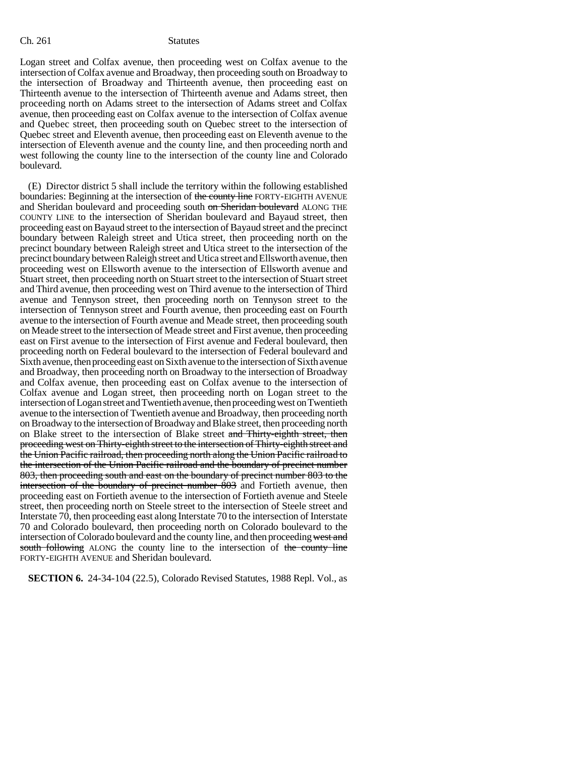Logan street and Colfax avenue, then proceeding west on Colfax avenue to the intersection of Colfax avenue and Broadway, then proceeding south on Broadway to the intersection of Broadway and Thirteenth avenue, then proceeding east on Thirteenth avenue to the intersection of Thirteenth avenue and Adams street, then proceeding north on Adams street to the intersection of Adams street and Colfax avenue, then proceeding east on Colfax avenue to the intersection of Colfax avenue and Quebec street, then proceeding south on Quebec street to the intersection of Quebec street and Eleventh avenue, then proceeding east on Eleventh avenue to the intersection of Eleventh avenue and the county line, and then proceeding north and west following the county line to the intersection of the county line and Colorado boulevard.

(E) Director district 5 shall include the territory within the following established boundaries: Beginning at the intersection of the county line FORTY-EIGHTH AVENUE and Sheridan boulevard and proceeding south on Sheridan boulevard ALONG THE COUNTY LINE to the intersection of Sheridan boulevard and Bayaud street, then proceeding east on Bayaud street to the intersection of Bayaud street and the precinct boundary between Raleigh street and Utica street, then proceeding north on the precinct boundary between Raleigh street and Utica street to the intersection of the precinct boundary between Raleigh street and Utica street and Ellsworth avenue, then proceeding west on Ellsworth avenue to the intersection of Ellsworth avenue and Stuart street, then proceeding north on Stuart street to the intersection of Stuart street and Third avenue, then proceeding west on Third avenue to the intersection of Third avenue and Tennyson street, then proceeding north on Tennyson street to the intersection of Tennyson street and Fourth avenue, then proceeding east on Fourth avenue to the intersection of Fourth avenue and Meade street, then proceeding south on Meade street to the intersection of Meade street and First avenue, then proceeding east on First avenue to the intersection of First avenue and Federal boulevard, then proceeding north on Federal boulevard to the intersection of Federal boulevard and Sixth avenue, then proceeding east on Sixth avenue to the intersection of Sixth avenue and Broadway, then proceeding north on Broadway to the intersection of Broadway and Colfax avenue, then proceeding east on Colfax avenue to the intersection of Colfax avenue and Logan street, then proceeding north on Logan street to the intersection of Logan street and Twentieth avenue, then proceeding west on Twentieth avenue to the intersection of Twentieth avenue and Broadway, then proceeding north on Broadway to the intersection of Broadway and Blake street, then proceeding north on Blake street to the intersection of Blake street and Thirty-eighth street, then proceeding west on Thirty-eighth street to the intersection of Thirty-eighth street and the Union Pacific railroad, then proceeding north along the Union Pacific railroad to the intersection of the Union Pacific railroad and the boundary of precinct number 803, then proceeding south and east on the boundary of precinct number 803 to the intersection of the boundary of precinct number 803 and Fortieth avenue, then proceeding east on Fortieth avenue to the intersection of Fortieth avenue and Steele street, then proceeding north on Steele street to the intersection of Steele street and Interstate 70, then proceeding east along Interstate 70 to the intersection of Interstate 70 and Colorado boulevard, then proceeding north on Colorado boulevard to the intersection of Colorado boulevard and the county line, and then proceeding west and south following ALONG the county line to the intersection of the county line FORTY-EIGHTH AVENUE and Sheridan boulevard.

**SECTION 6.** 24-34-104 (22.5), Colorado Revised Statutes, 1988 Repl. Vol., as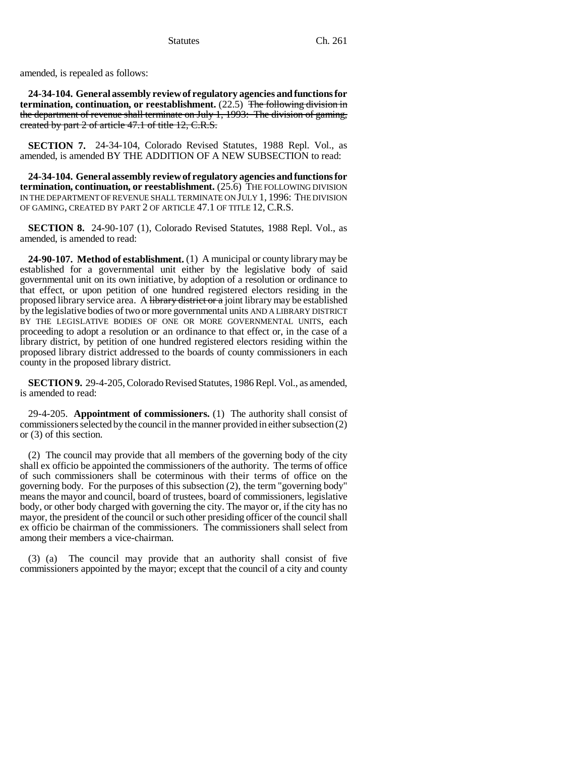amended, is repealed as follows:

**24-34-104. General assembly review of regulatory agencies and functions for termination, continuation, or reestablishment.** (22.5) The following division in the department of revenue shall terminate on July 1, 1993: The division of gaming, created by part 2 of article 47.1 of title 12, C.R.S.

**SECTION 7.** 24-34-104, Colorado Revised Statutes, 1988 Repl. Vol., as amended, is amended BY THE ADDITION OF A NEW SUBSECTION to read:

**24-34-104. General assembly review of regulatory agencies and functions for termination, continuation, or reestablishment.** (25.6) THE FOLLOWING DIVISION IN THE DEPARTMENT OF REVENUE SHALL TERMINATE ON JULY 1, 1996: THE DIVISION OF GAMING, CREATED BY PART 2 OF ARTICLE 47.1 OF TITLE 12, C.R.S.

**SECTION 8.** 24-90-107 (1), Colorado Revised Statutes, 1988 Repl. Vol., as amended, is amended to read:

**24-90-107. Method of establishment.** (1) A municipal or county library may be established for a governmental unit either by the legislative body of said governmental unit on its own initiative, by adoption of a resolution or ordinance to that effect, or upon petition of one hundred registered electors residing in the proposed library service area. A library district or a joint library may be established by the legislative bodies of two or more governmental units AND A LIBRARY DISTRICT BY THE LEGISLATIVE BODIES OF ONE OR MORE GOVERNMENTAL UNITS, each proceeding to adopt a resolution or an ordinance to that effect or, in the case of a library district, by petition of one hundred registered electors residing within the proposed library district addressed to the boards of county commissioners in each county in the proposed library district.

**SECTION 9.** 29-4-205, Colorado Revised Statutes, 1986 Repl. Vol., as amended, is amended to read:

29-4-205. **Appointment of commissioners.** (1) The authority shall consist of commissioners selected by the council in the manner provided in either subsection (2) or (3) of this section.

(2) The council may provide that all members of the governing body of the city shall ex officio be appointed the commissioners of the authority. The terms of office of such commissioners shall be coterminous with their terms of office on the governing body. For the purposes of this subsection (2), the term "governing body" means the mayor and council, board of trustees, board of commissioners, legislative body, or other body charged with governing the city. The mayor or, if the city has no mayor, the president of the council or such other presiding officer of the council shall ex officio be chairman of the commissioners. The commissioners shall select from among their members a vice-chairman.

(3) (a) The council may provide that an authority shall consist of five commissioners appointed by the mayor; except that the council of a city and county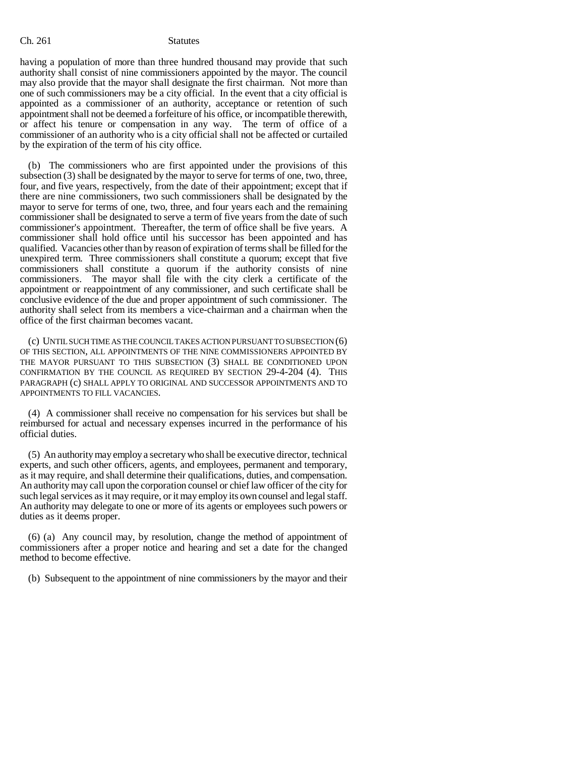having a population of more than three hundred thousand may provide that such authority shall consist of nine commissioners appointed by the mayor. The council may also provide that the mayor shall designate the first chairman. Not more than one of such commissioners may be a city official. In the event that a city official is appointed as a commissioner of an authority, acceptance or retention of such appointment shall not be deemed a forfeiture of his office, or incompatible therewith, or affect his tenure or compensation in any way. The term of office of a commissioner of an authority who is a city official shall not be affected or curtailed by the expiration of the term of his city office.

(b) The commissioners who are first appointed under the provisions of this subsection (3) shall be designated by the mayor to serve for terms of one, two, three, four, and five years, respectively, from the date of their appointment; except that if there are nine commissioners, two such commissioners shall be designated by the mayor to serve for terms of one, two, three, and four years each and the remaining commissioner shall be designated to serve a term of five years from the date of such commissioner's appointment. Thereafter, the term of office shall be five years. A commissioner shall hold office until his successor has been appointed and has qualified. Vacancies other than by reason of expiration of terms shall be filled for the unexpired term. Three commissioners shall constitute a quorum; except that five commissioners shall constitute a quorum if the authority consists of nine commissioners. The mayor shall file with the city clerk a certificate of the appointment or reappointment of any commissioner, and such certificate shall be conclusive evidence of the due and proper appointment of such commissioner. The authority shall select from its members a vice-chairman and a chairman when the office of the first chairman becomes vacant.

(c) UNTIL SUCH TIME AS THE COUNCIL TAKES ACTION PURSUANT TO SUBSECTION (6) OF THIS SECTION, ALL APPOINTMENTS OF THE NINE COMMISSIONERS APPOINTED BY THE MAYOR PURSUANT TO THIS SUBSECTION (3) SHALL BE CONDITIONED UPON CONFIRMATION BY THE COUNCIL AS REQUIRED BY SECTION 29-4-204 (4). THIS PARAGRAPH (c) SHALL APPLY TO ORIGINAL AND SUCCESSOR APPOINTMENTS AND TO APPOINTMENTS TO FILL VACANCIES.

(4) A commissioner shall receive no compensation for his services but shall be reimbursed for actual and necessary expenses incurred in the performance of his official duties.

(5) An authority may employ a secretary who shall be executive director, technical experts, and such other officers, agents, and employees, permanent and temporary, as it may require, and shall determine their qualifications, duties, and compensation. An authority may call upon the corporation counsel or chief law officer of the city for such legal services as it may require, or it may employ its own counsel and legal staff. An authority may delegate to one or more of its agents or employees such powers or duties as it deems proper.

(6) (a) Any council may, by resolution, change the method of appointment of commissioners after a proper notice and hearing and set a date for the changed method to become effective.

(b) Subsequent to the appointment of nine commissioners by the mayor and their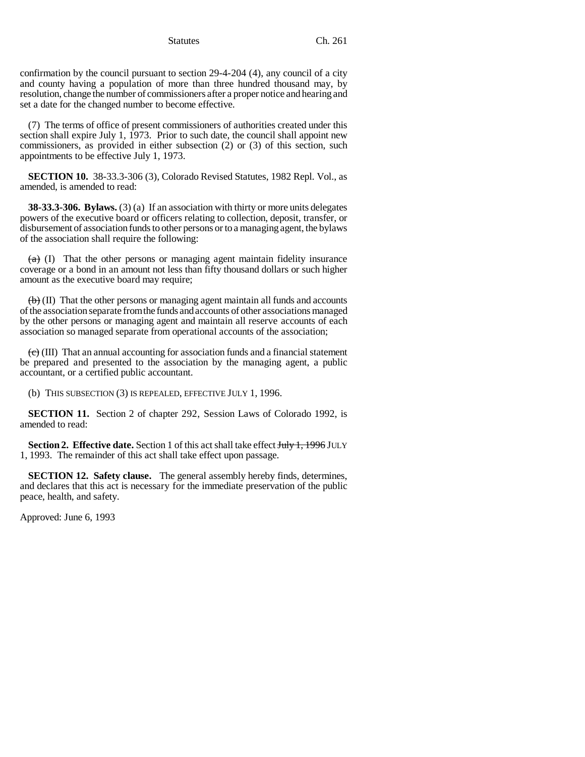Statutes Ch. 261

confirmation by the council pursuant to section 29-4-204 (4), any council of a city and county having a population of more than three hundred thousand may, by resolution, change the number of commissioners after a proper notice and hearing and set a date for the changed number to become effective.

(7) The terms of office of present commissioners of authorities created under this section shall expire July 1, 1973. Prior to such date, the council shall appoint new commissioners, as provided in either subsection (2) or (3) of this section, such appointments to be effective July 1, 1973.

**SECTION 10.** 38-33.3-306 (3), Colorado Revised Statutes, 1982 Repl. Vol., as amended, is amended to read:

**38-33.3-306. Bylaws.** (3) (a) If an association with thirty or more units delegates powers of the executive board or officers relating to collection, deposit, transfer, or disbursement of association funds to other persons or to a managing agent, the bylaws of the association shall require the following:

 $(a)$  (I) That the other persons or managing agent maintain fidelity insurance coverage or a bond in an amount not less than fifty thousand dollars or such higher amount as the executive board may require;

 $\langle \Theta \rangle$  (II) That the other persons or managing agent maintain all funds and accounts of the association separate from the funds and accounts of other associations managed by the other persons or managing agent and maintain all reserve accounts of each association so managed separate from operational accounts of the association;

 $\left(\frac{e}{c}\right)$  (III) That an annual accounting for association funds and a financial statement be prepared and presented to the association by the managing agent, a public accountant, or a certified public accountant.

(b) THIS SUBSECTION (3) IS REPEALED, EFFECTIVE JULY 1, 1996.

**SECTION 11.** Section 2 of chapter 292, Session Laws of Colorado 1992, is amended to read:

**Section 2. Effective date.** Section 1 of this act shall take effect **July 1, 1996** JULY 1, 1993. The remainder of this act shall take effect upon passage.

**SECTION 12. Safety clause.** The general assembly hereby finds, determines, and declares that this act is necessary for the immediate preservation of the public peace, health, and safety.

Approved: June 6, 1993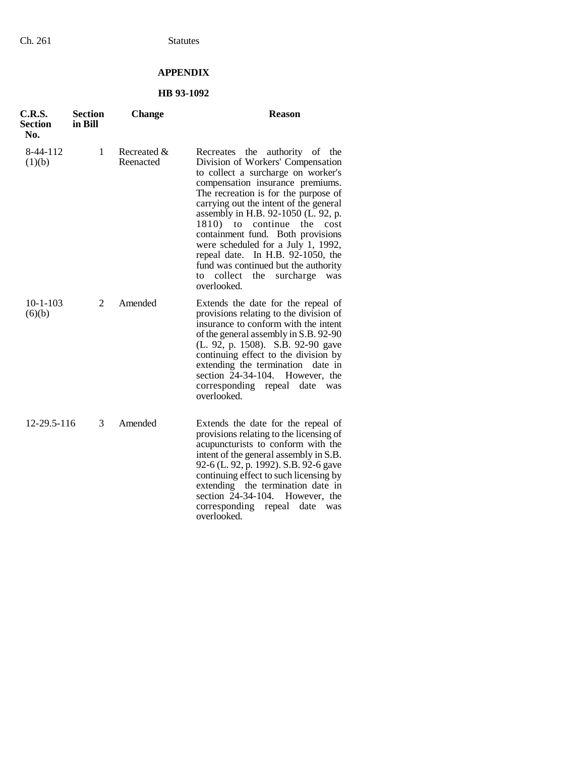## **APPENDIX**

## **HB 93-1092**

| <b>C.R.S.</b><br><b>Section</b><br>No. | <b>Section</b><br>in Bill | Change                   | <b>Reason</b>                                                                                                                                                                                                                                                                                                                                                                                                                                                                                                                 |
|----------------------------------------|---------------------------|--------------------------|-------------------------------------------------------------------------------------------------------------------------------------------------------------------------------------------------------------------------------------------------------------------------------------------------------------------------------------------------------------------------------------------------------------------------------------------------------------------------------------------------------------------------------|
| 8-44-112<br>(1)(b)                     | 1                         | Recreated &<br>Reenacted | Recreates the<br>authority of the<br>Division of Workers' Compensation<br>to collect a surcharge on worker's<br>compensation insurance premiums.<br>The recreation is for the purpose of<br>carrying out the intent of the general<br>assembly in H.B. 92-1050 (L. 92, p.<br>1810) to continue the<br>cost<br>containment fund. Both provisions<br>were scheduled for a July 1, 1992,<br>repeal date. In H.B. 92-1050, the<br>fund was continued but the authority<br>collect<br>the<br>surcharge<br>to<br>was<br>overlooked. |
| $10 - 1 - 103$<br>(6)(b)               | 2                         | Amended                  | Extends the date for the repeal of<br>provisions relating to the division of<br>insurance to conform with the intent<br>of the general assembly in S.B. 92-90<br>(L. 92, p. 1508). S.B. 92-90 gave<br>continuing effect to the division by<br>extending the termination<br>date in<br>section 24-34-104.<br>However, the<br>corresponding repeal<br>date<br>was<br>overlooked.                                                                                                                                                |
| 12-29.5-116                            | 3                         | Amended                  | Extends the date for the repeal of<br>provisions relating to the licensing of<br>acupuncturists to conform with the<br>intent of the general assembly in S.B.<br>92-6 (L. 92, p. 1992). S.B. 92-6 gave<br>continuing effect to such licensing by<br>extending the termination date in<br>section 24-34-104.<br>However, the<br>corresponding<br>repeal<br>date<br>was<br>overlooked.                                                                                                                                          |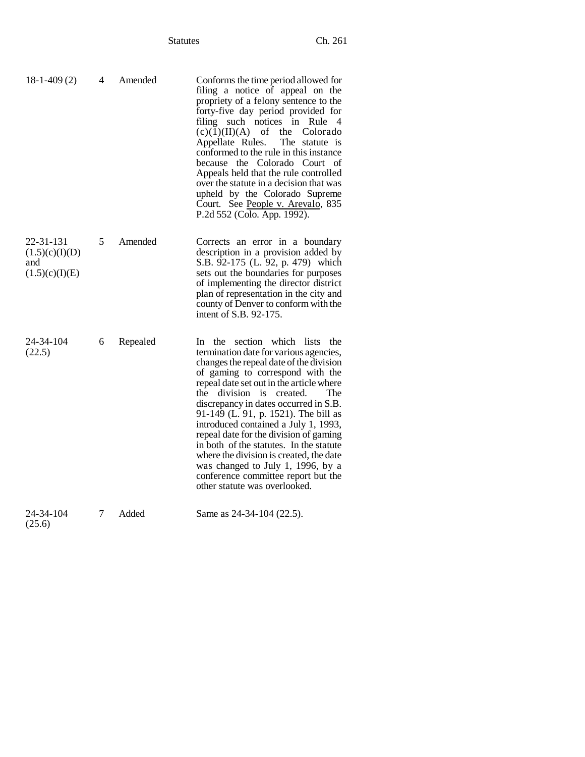| $18-1-409(2)$                                        | 4 | Amended  | Conforms the time period allowed for<br>filing a notice of appeal on the<br>propriety of a felony sentence to the<br>forty-five day period provided for<br>filing such notices in Rule 4<br>$(c)(1)(II)(A)$ of the<br>Colorado<br>Appellate Rules.<br>The statute is<br>conformed to the rule in this instance<br>because the Colorado Court of<br>Appeals held that the rule controlled<br>over the statute in a decision that was<br>upheld by the Colorado Supreme<br>Court. See People v. Arevalo, 835<br>P.2d 552 (Colo. App. 1992).                                                                          |
|------------------------------------------------------|---|----------|--------------------------------------------------------------------------------------------------------------------------------------------------------------------------------------------------------------------------------------------------------------------------------------------------------------------------------------------------------------------------------------------------------------------------------------------------------------------------------------------------------------------------------------------------------------------------------------------------------------------|
| 22-31-131<br>(1.5)(c)(I)(D)<br>and<br>(1.5)(c)(I)(E) | 5 | Amended  | Corrects an error in a boundary<br>description in a provision added by<br>S.B. 92-175 (L. 92, p. 479) which<br>sets out the boundaries for purposes<br>of implementing the director district<br>plan of representation in the city and<br>county of Denver to conform with the<br>intent of S.B. 92-175.                                                                                                                                                                                                                                                                                                           |
| 24-34-104<br>(22.5)                                  | 6 | Repealed | In the section<br>which lists<br>the<br>termination date for various agencies,<br>changes the repeal date of the division<br>of gaming to correspond with the<br>repeal date set out in the article where<br>the division is created.<br>The<br>discrepancy in dates occurred in S.B.<br>91-149 (L. 91, p. 1521). The bill as<br>introduced contained a July 1, 1993,<br>repeal date for the division of gaming<br>in both of the statutes. In the statute<br>where the division is created, the date<br>was changed to July 1, 1996, by a<br>conference committee report but the<br>other statute was overlooked. |
| 24-34-104<br>(25.6)                                  | 7 | Added    | Same as 24-34-104 (22.5).                                                                                                                                                                                                                                                                                                                                                                                                                                                                                                                                                                                          |